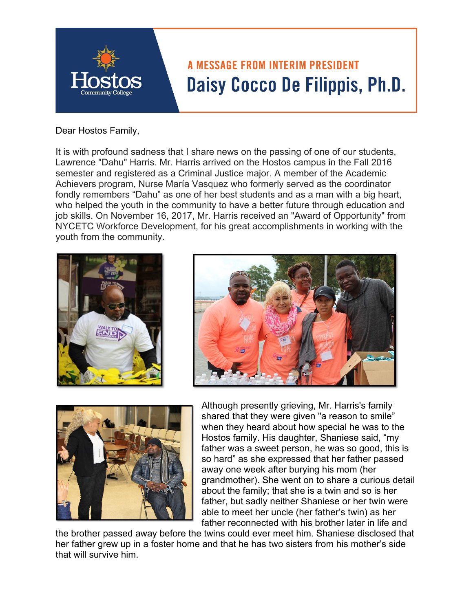

Dear Hostos Family,

It is with profound sadness that I share news on the passing of one of our students, Lawrence "Dahu" Harris. Mr. Harris arrived on the Hostos campus in the Fall 2016 semester and registered as a Criminal Justice major. A member of the Academic Achievers program, Nurse María Vasquez who formerly served as the coordinator fondly remembers "Dahu" as one of her best students and as a man with a big heart, who helped the youth in the community to have a better future through education and job skills. On November 16, 2017, Mr. Harris received an "Award of Opportunity" from NYCETC Workforce Development, for his great accomplishments in working with the youth from the community.







Although presently grieving, Mr. Harris's family shared that they were given "a reason to smile" when they heard about how special he was to the Hostos family. His daughter, Shaniese said, "my father was a sweet person, he was so good, this is so hard" as she expressed that her father passed away one week after burying his mom (her grandmother). She went on to share a curious detail about the family; that she is a twin and so is her father, but sadly neither Shaniese or her twin were able to meet her uncle (her father's twin) as her father reconnected with his brother later in life and

the brother passed away before the twins could ever meet him. Shaniese disclosed that her father grew up in a foster home and that he has two sisters from his mother's side that will survive him.